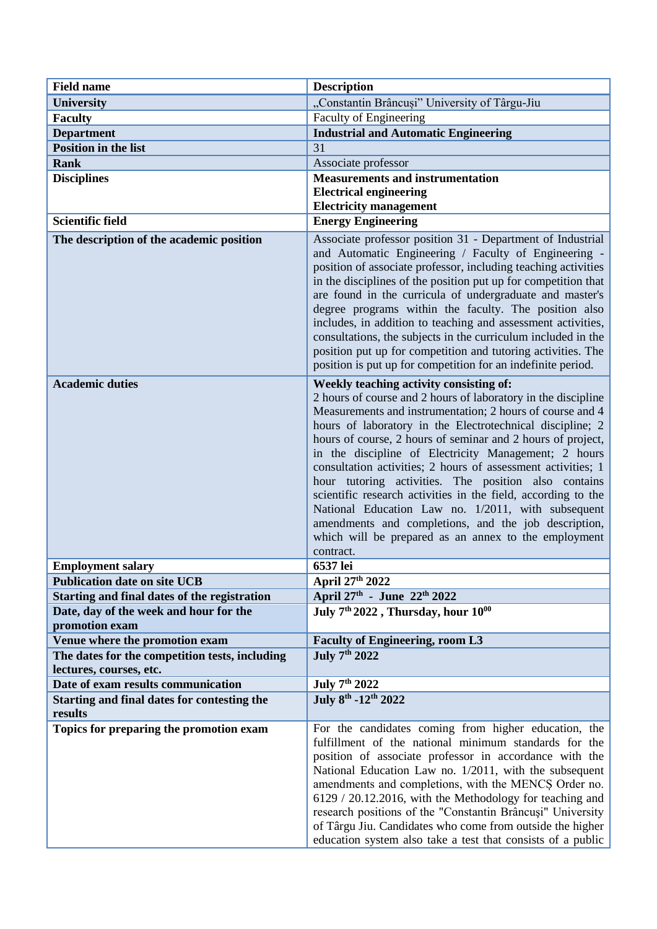| <b>Field name</b>                                             | <b>Description</b>                                                                                                                                                                                                                                                                                                                                                                                                                                                                                                                                                                                                                                                                                                                    |
|---------------------------------------------------------------|---------------------------------------------------------------------------------------------------------------------------------------------------------------------------------------------------------------------------------------------------------------------------------------------------------------------------------------------------------------------------------------------------------------------------------------------------------------------------------------------------------------------------------------------------------------------------------------------------------------------------------------------------------------------------------------------------------------------------------------|
| <b>University</b>                                             | "Constantin Brâncuși" University of Târgu-Jiu                                                                                                                                                                                                                                                                                                                                                                                                                                                                                                                                                                                                                                                                                         |
| <b>Faculty</b>                                                | Faculty of Engineering                                                                                                                                                                                                                                                                                                                                                                                                                                                                                                                                                                                                                                                                                                                |
| <b>Department</b>                                             | <b>Industrial and Automatic Engineering</b>                                                                                                                                                                                                                                                                                                                                                                                                                                                                                                                                                                                                                                                                                           |
| Position in the list                                          | 31                                                                                                                                                                                                                                                                                                                                                                                                                                                                                                                                                                                                                                                                                                                                    |
| <b>Rank</b>                                                   | Associate professor                                                                                                                                                                                                                                                                                                                                                                                                                                                                                                                                                                                                                                                                                                                   |
| <b>Disciplines</b>                                            | <b>Measurements and instrumentation</b>                                                                                                                                                                                                                                                                                                                                                                                                                                                                                                                                                                                                                                                                                               |
|                                                               | <b>Electrical engineering</b>                                                                                                                                                                                                                                                                                                                                                                                                                                                                                                                                                                                                                                                                                                         |
|                                                               | <b>Electricity management</b>                                                                                                                                                                                                                                                                                                                                                                                                                                                                                                                                                                                                                                                                                                         |
| <b>Scientific field</b>                                       | <b>Energy Engineering</b>                                                                                                                                                                                                                                                                                                                                                                                                                                                                                                                                                                                                                                                                                                             |
| The description of the academic position                      | Associate professor position 31 - Department of Industrial<br>and Automatic Engineering / Faculty of Engineering -<br>position of associate professor, including teaching activities<br>in the disciplines of the position put up for competition that<br>are found in the curricula of undergraduate and master's<br>degree programs within the faculty. The position also<br>includes, in addition to teaching and assessment activities,<br>consultations, the subjects in the curriculum included in the<br>position put up for competition and tutoring activities. The<br>position is put up for competition for an indefinite period.                                                                                          |
| <b>Academic duties</b>                                        | Weekly teaching activity consisting of:<br>2 hours of course and 2 hours of laboratory in the discipline<br>Measurements and instrumentation; 2 hours of course and 4<br>hours of laboratory in the Electrotechnical discipline; 2<br>hours of course, 2 hours of seminar and 2 hours of project,<br>in the discipline of Electricity Management; 2 hours<br>consultation activities; 2 hours of assessment activities; 1<br>hour tutoring activities. The position also contains<br>scientific research activities in the field, according to the<br>National Education Law no. 1/2011, with subsequent<br>amendments and completions, and the job description,<br>which will be prepared as an annex to the employment<br>contract. |
| <b>Employment salary</b>                                      | 6537 lei                                                                                                                                                                                                                                                                                                                                                                                                                                                                                                                                                                                                                                                                                                                              |
| <b>Publication date on site UCB</b>                           | April 27th 2022                                                                                                                                                                                                                                                                                                                                                                                                                                                                                                                                                                                                                                                                                                                       |
| Starting and final dates of the registration                  | April 27th - June 22th 2022                                                                                                                                                                                                                                                                                                                                                                                                                                                                                                                                                                                                                                                                                                           |
| Date, day of the week and hour for the<br>promotion exam      | July 7 <sup>th</sup> 2022, Thursday, hour 10 <sup>00</sup>                                                                                                                                                                                                                                                                                                                                                                                                                                                                                                                                                                                                                                                                            |
| Venue where the promotion exam                                | <b>Faculty of Engineering, room L3</b>                                                                                                                                                                                                                                                                                                                                                                                                                                                                                                                                                                                                                                                                                                |
| The dates for the competition tests, including                | July 7 <sup>th</sup> 2022                                                                                                                                                                                                                                                                                                                                                                                                                                                                                                                                                                                                                                                                                                             |
| lectures, courses, etc.                                       |                                                                                                                                                                                                                                                                                                                                                                                                                                                                                                                                                                                                                                                                                                                                       |
| Date of exam results communication                            | July 7 <sup>th</sup> 2022                                                                                                                                                                                                                                                                                                                                                                                                                                                                                                                                                                                                                                                                                                             |
| <b>Starting and final dates for contesting the</b><br>results | July 8th - 12th 2022                                                                                                                                                                                                                                                                                                                                                                                                                                                                                                                                                                                                                                                                                                                  |
| Topics for preparing the promotion exam                       | For the candidates coming from higher education, the<br>fulfillment of the national minimum standards for the<br>position of associate professor in accordance with the<br>National Education Law no. 1/2011, with the subsequent<br>amendments and completions, with the MENCS Order no.<br>6129 / 20.12.2016, with the Methodology for teaching and<br>research positions of the "Constantin Brâncuși" University<br>of Târgu Jiu. Candidates who come from outside the higher<br>education system also take a test that consists of a public                                                                                                                                                                                       |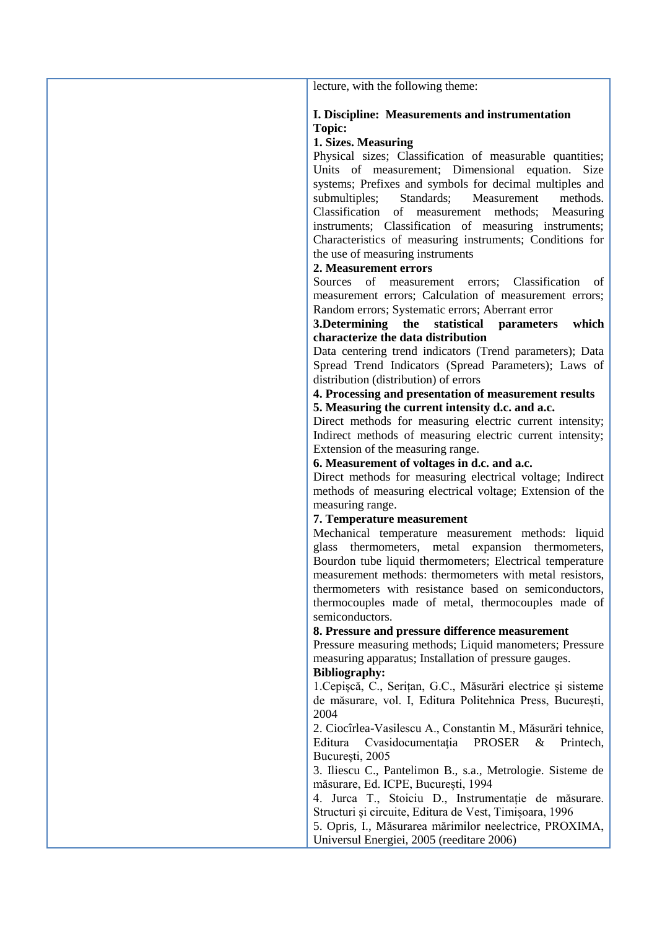lecture, with the following theme:

## **I. Discipline: Measurements and instrumentation Topic:**

## **1. Sizes. Measuring**

Physical sizes; Classification of measurable quantities; Units of measurement; Dimensional equation. Size systems; Prefixes and symbols for decimal multiples and submultiples; Standards; Measurement methods. Classification of measurement methods; Measuring instruments; Classification of measuring instruments; Characteristics of measuring instruments; Conditions for the use of measuring instruments

### **2. Measurement errors**

Sources of measurement errors; Classification of measurement errors; Calculation of measurement errors; Random errors; Systematic errors; Aberrant error

## **3.Determining the statistical parameters which characterize the data distribution**

Data centering trend indicators (Trend parameters); Data Spread Trend Indicators (Spread Parameters); Laws of distribution (distribution) of errors

### **4. Processing and presentation of measurement results 5. Measuring the current intensity d.c. and a.c.**

Direct methods for measuring electric current intensity; Indirect methods of measuring electric current intensity; Extension of the measuring range.

### **6. Measurement of voltages in d.c. and a.c.**

Direct methods for measuring electrical voltage; Indirect methods of measuring electrical voltage; Extension of the measuring range.

### **7. Temperature measurement**

Mechanical temperature measurement methods: liquid glass thermometers, metal expansion thermometers, Bourdon tube liquid thermometers; Electrical temperature measurement methods: thermometers with metal resistors, thermometers with resistance based on semiconductors, thermocouples made of metal, thermocouples made of semiconductors.

### **8. Pressure and pressure difference measurement**

Pressure measuring methods; Liquid manometers; Pressure measuring apparatus; Installation of pressure gauges.

## **Bibliography:**

1.Cepișcă, C., Serițan, G.C., Măsurări electrice și sisteme de măsurare, vol. I, Editura Politehnica Press, București, 2004

2. Ciocîrlea-Vasilescu A., Constantin M., Măsurări tehnice, Editura Cvasidocumentatia PROSER & Printech, Bucureşti, 2005

3. Iliescu C., Pantelimon B., s.a., Metrologie. Sisteme de măsurare, Ed. ICPE, București, 1994

4. Jurca T., Stoiciu D., Instrumentație de măsurare. Structuri și circuite, Editura de Vest, Timișoara, 1996

5. Opris, I., Măsurarea mărimilor neelectrice, PROXIMA, Universul Energiei, 2005 (reeditare 2006)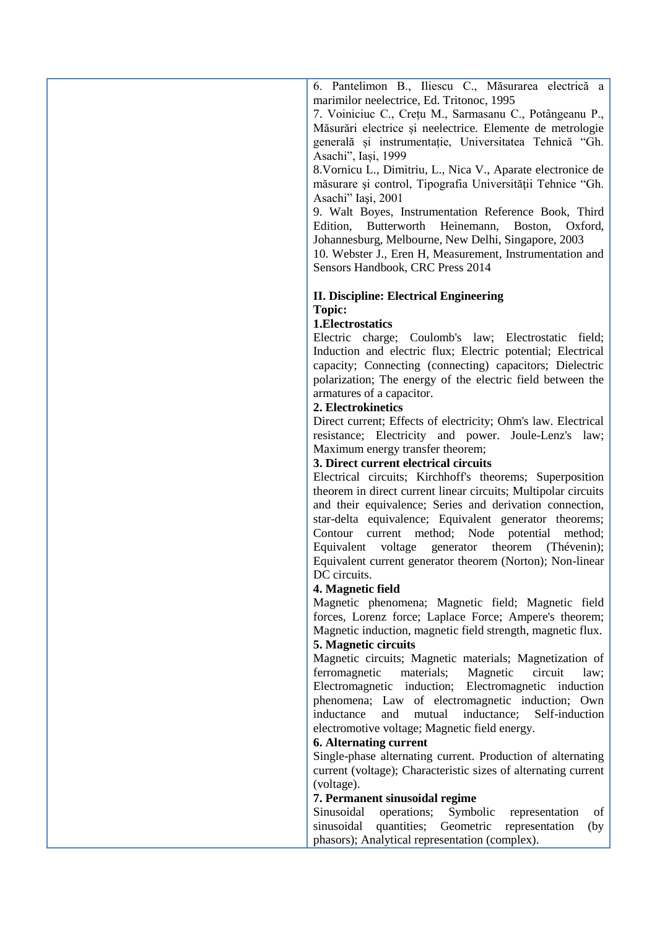6. Pantelimon B., Iliescu C., Măsurarea electrică a marimilor neelectrice, Ed. Tritonoc, 1995

7. Voiniciuc C., Crețu M., Sarmasanu C., Potângeanu P., Măsurări electrice și neelectrice. Elemente de metrologie generală și instrumentație, Universitatea Tehnică "Gh. Asachi", Iași, 1999

8.Vornicu L., Dimitriu, L., Nica V., Aparate electronice de măsurare şi control, Tipografia Universităţii Tehnice "Gh. Asachi" Iaşi, 2001

9. Walt Boyes, Instrumentation Reference Book, Third Edition, Butterworth Heinemann, Boston, Oxford, Johannesburg, Melbourne, New Delhi, Singapore, 2003

10. Webster J., Eren H, Measurement, Instrumentation and Sensors Handbook, CRC Press 2014

## **II. Discipline: Electrical Engineering Topic:**

## **1.Electrostatics**

Electric charge; Coulomb's law; Electrostatic field; Induction and electric flux; Electric potential; Electrical capacity; Connecting (connecting) capacitors; Dielectric polarization; The energy of the electric field between the armatures of a capacitor.

## **2. Electrokinetics**

Direct current; Effects of electricity; Ohm's law. Electrical resistance; Electricity and power. Joule-Lenz's law; Maximum energy transfer theorem;

## **3. Direct current electrical circuits**

Electrical circuits; Kirchhoff's theorems; Superposition theorem in direct current linear circuits; Multipolar circuits and their equivalence; Series and derivation connection, star-delta equivalence; Equivalent generator theorems; Contour current method; Node potential method; Equivalent voltage generator theorem (Thévenin); Equivalent current generator theorem (Norton); Non-linear DC circuits.

### **4. Magnetic field**

Magnetic phenomena; Magnetic field; Magnetic field forces, Lorenz force; Laplace Force; Ampere's theorem; Magnetic induction, magnetic field strength, magnetic flux.

# **5. Magnetic circuits**

Magnetic circuits; Magnetic materials; Magnetization of ferromagnetic materials; Magnetic circuit law; Electromagnetic induction; Electromagnetic induction phenomena; Law of electromagnetic induction; Own inductance and mutual inductance; Self-induction electromotive voltage; Magnetic field energy.

### **6. Alternating current**

Single-phase alternating current. Production of alternating current (voltage); Characteristic sizes of alternating current (voltage).

### **7. Permanent sinusoidal regime**

Sinusoidal operations; Symbolic representation of sinusoidal quantities; Geometric representation (by phasors); Analytical representation (complex).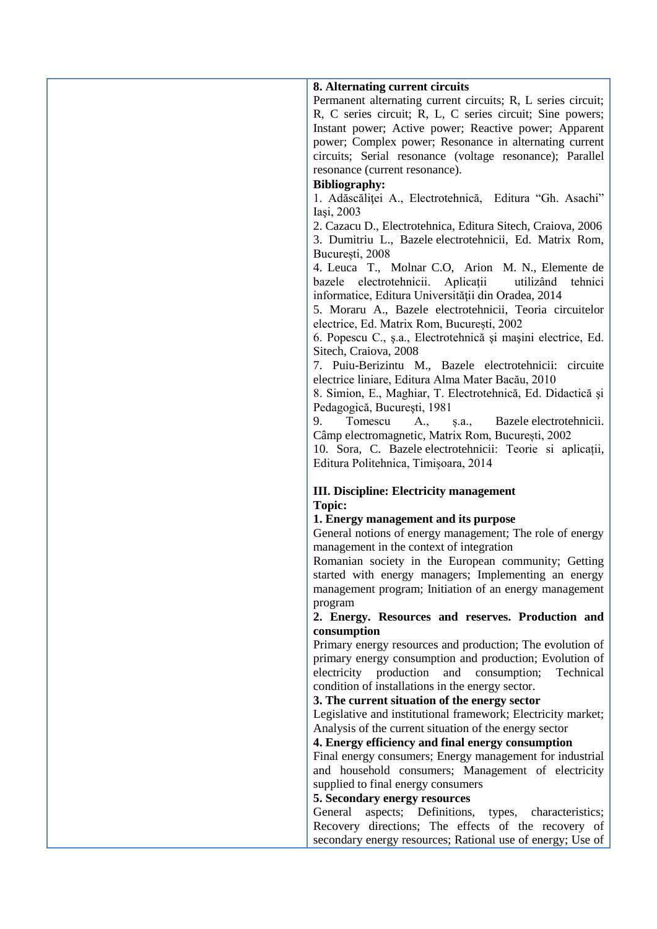| 8. Alternating current circuits<br>Permanent alternating current circuits; R, L series circuit;<br>R, C series circuit; R, L, C series circuit; Sine powers;                                                                                      |
|---------------------------------------------------------------------------------------------------------------------------------------------------------------------------------------------------------------------------------------------------|
| Instant power; Active power; Reactive power; Apparent<br>power; Complex power; Resonance in alternating current<br>circuits; Serial resonance (voltage resonance); Parallel                                                                       |
| resonance (current resonance).<br><b>Bibliography:</b>                                                                                                                                                                                            |
| 1. Adăscăliței A., Electrotehnică, Editura "Gh. Asachi"<br>Iași, 2003                                                                                                                                                                             |
| 2. Cazacu D., Electrotehnica, Editura Sitech, Craiova, 2006<br>3. Dumitriu L., Bazele electrotehnicii, Ed. Matrix Rom,<br>București, 2008                                                                                                         |
| 4. Leuca T., Molnar C.O, Arion M. N., Elemente de<br>bazele electrotehnicii.<br>Aplicații<br>utilizând<br>tehnici<br>informatice, Editura Universității din Oradea, 2014<br>5. Moraru A., Bazele electrotehnicii, Teoria circuitelor              |
| electrice, Ed. Matrix Rom, București, 2002                                                                                                                                                                                                        |
| 6. Popescu C., ș.a., Electrotehnică și mașini electrice, Ed.<br>Sitech, Craiova, 2008                                                                                                                                                             |
| 7. Puiu-Berizintu M., Bazele electrotehnicii: circuite<br>electrice liniare, Editura Alma Mater Bacău, 2010<br>8. Simion, E., Maghiar, T. Electrotehnică, Ed. Didactică și                                                                        |
| Pedagogică, București, 1981<br>Tomescu<br>9.<br>A.,<br>Bazele electrotehnicii.<br>s.a.,<br>Câmp electromagnetic, Matrix Rom, București, 2002<br>10. Sora, C. Bazele electrotehnicii: Teorie si aplicații,<br>Editura Politehnica, Timișoara, 2014 |
| <b>III. Discipline: Electricity management</b>                                                                                                                                                                                                    |
| Topic:<br>1. Energy management and its purpose                                                                                                                                                                                                    |
| General notions of energy management; The role of energy<br>management in the context of integration                                                                                                                                              |
| Romanian society in the European community; Getting                                                                                                                                                                                               |
| started with energy managers; Implementing an energy<br>management program; Initiation of an energy management                                                                                                                                    |
| program<br>2. Energy. Resources and reserves. Production and                                                                                                                                                                                      |
| consumption                                                                                                                                                                                                                                       |
| Primary energy resources and production; The evolution of<br>primary energy consumption and production; Evolution of<br>electricity production and consumption;<br>Technical                                                                      |
| condition of installations in the energy sector.<br>3. The current situation of the energy sector                                                                                                                                                 |
| Legislative and institutional framework; Electricity market;                                                                                                                                                                                      |
| Analysis of the current situation of the energy sector                                                                                                                                                                                            |
| 4. Energy efficiency and final energy consumption                                                                                                                                                                                                 |
| Final energy consumers; Energy management for industrial<br>and household consumers; Management of electricity                                                                                                                                    |
| supplied to final energy consumers                                                                                                                                                                                                                |
| 5. Secondary energy resources<br>General<br>aspects; Definitions,<br>characteristics;<br>types,                                                                                                                                                   |
| Recovery directions; The effects of the recovery of                                                                                                                                                                                               |
| secondary energy resources; Rational use of energy; Use of                                                                                                                                                                                        |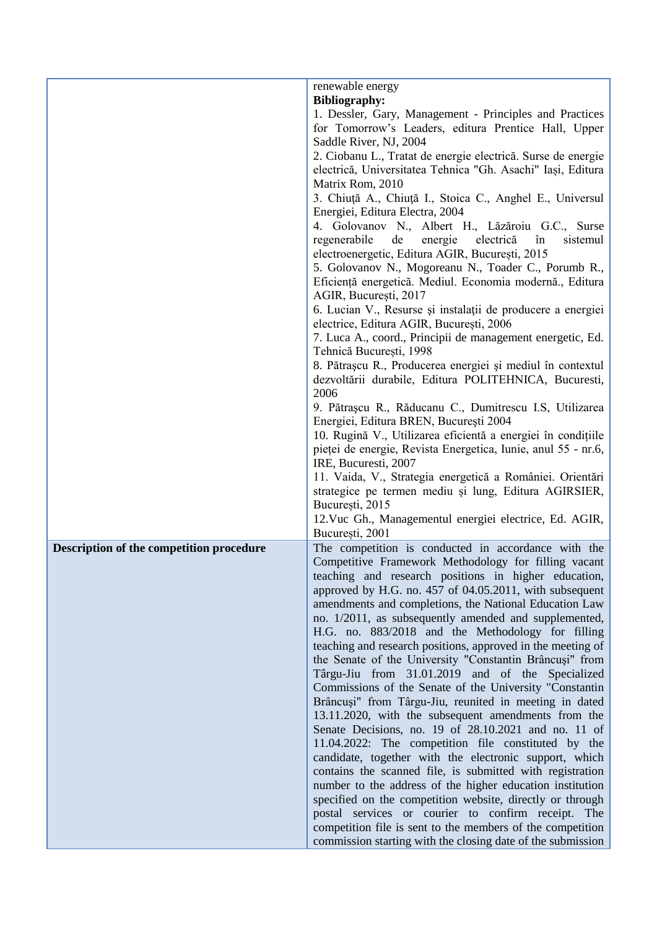|                                          | renewable energy                                                                |
|------------------------------------------|---------------------------------------------------------------------------------|
|                                          | <b>Bibliography:</b><br>1. Dessler, Gary, Management - Principles and Practices |
|                                          |                                                                                 |
|                                          | for Tomorrow's Leaders, editura Prentice Hall, Upper                            |
|                                          | Saddle River, NJ, 2004                                                          |
|                                          | 2. Ciobanu L., Tratat de energie electrică. Surse de energie                    |
|                                          | electrică, Universitatea Tehnica "Gh. Asachi" Iași, Editura                     |
|                                          | Matrix Rom, 2010                                                                |
|                                          | 3. Chiuță A., Chiuță I., Stoica C., Anghel E., Universul                        |
|                                          | Energiei, Editura Electra, 2004                                                 |
|                                          | 4. Golovanov N., Albert H., Lăzăroiu G.C., Surse                                |
|                                          | regenerabile<br>de<br>în<br>energie<br>electrică<br>sistemul                    |
|                                          | electroenergetic, Editura AGIR, București, 2015                                 |
|                                          | 5. Golovanov N., Mogoreanu N., Toader C., Porumb R.,                            |
|                                          | Eficiență energetică. Mediul. Economia modernă., Editura                        |
|                                          | AGIR, București, 2017                                                           |
|                                          | 6. Lucian V., Resurse și instalații de producere a energiei                     |
|                                          | electrice, Editura AGIR, București, 2006                                        |
|                                          | 7. Luca A., coord., Principii de management energetic, Ed.                      |
|                                          | Tehnică București, 1998                                                         |
|                                          | 8. Pătrașcu R., Producerea energiei și mediul în contextul                      |
|                                          | dezvoltării durabile, Editura POLITEHNICA, Bucuresti,                           |
|                                          | 2006                                                                            |
|                                          | 9. Pătrașcu R., Răducanu C., Dumitrescu I.S, Utilizarea                         |
|                                          | Energiei, Editura BREN, București 2004                                          |
|                                          | 10. Rugină V., Utilizarea eficientă a energiei în condițiile                    |
|                                          | pieței de energie, Revista Energetica, Iunie, anul 55 - nr.6,                   |
|                                          | IRE, Bucuresti, 2007                                                            |
|                                          | 11. Vaida, V., Strategia energetică a României. Orientări                       |
|                                          | strategice pe termen mediu și lung, Editura AGIRSIER,                           |
|                                          | București, 2015                                                                 |
|                                          | 12. Vuc Gh., Managementul energiei electrice, Ed. AGIR,                         |
|                                          | București, 2001                                                                 |
| Description of the competition procedure | The competition is conducted in accordance with the                             |
|                                          | Competitive Framework Methodology for filling vacant                            |
|                                          | teaching and research positions in higher education,                            |
|                                          | approved by H.G. no. 457 of 04.05.2011, with subsequent                         |
|                                          | amendments and completions, the National Education Law                          |
|                                          | no. 1/2011, as subsequently amended and supplemented,                           |
|                                          | H.G. no. 883/2018 and the Methodology for filling                               |
|                                          | teaching and research positions, approved in the meeting of                     |
|                                          | the Senate of the University "Constantin Brâncuși" from                         |
|                                          | Târgu-Jiu from 31.01.2019 and of the Specialized                                |
|                                          | Commissions of the Senate of the University "Constantin                         |
|                                          | Brâncuși" from Târgu-Jiu, reunited in meeting in dated                          |
|                                          | 13.11.2020, with the subsequent amendments from the                             |
|                                          | Senate Decisions, no. 19 of 28.10.2021 and no. 11 of                            |
|                                          | 11.04.2022: The competition file constituted by the                             |
|                                          | candidate, together with the electronic support, which                          |
|                                          | contains the scanned file, is submitted with registration                       |
|                                          | number to the address of the higher education institution                       |
|                                          | specified on the competition website, directly or through                       |
|                                          | postal services or courier to confirm receipt. The                              |
|                                          | competition file is sent to the members of the competition                      |
|                                          | commission starting with the closing date of the submission                     |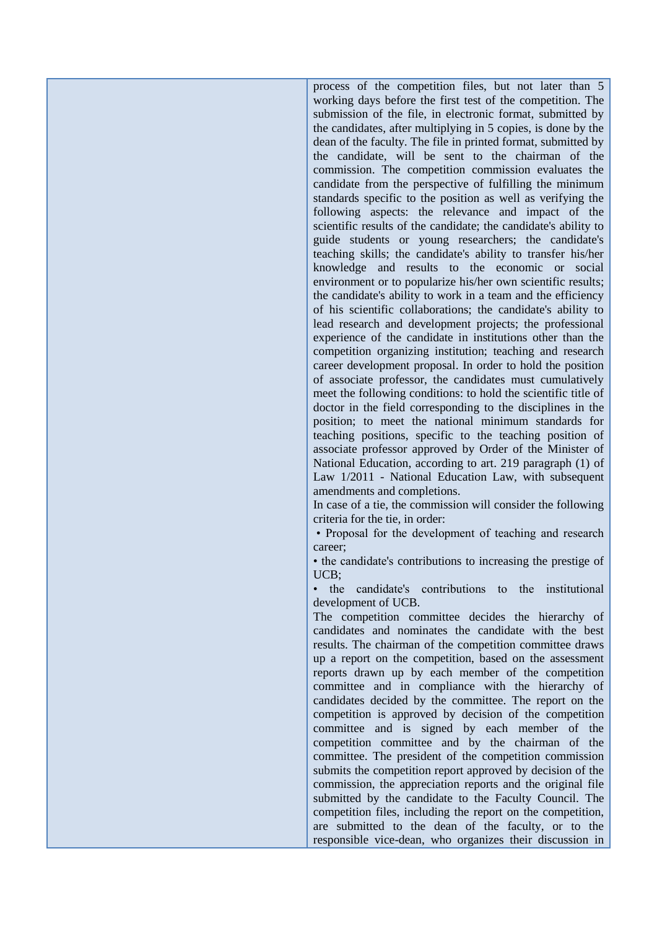process of the competition files, but not later than 5 working days before the first test of the competition. The submission of the file, in electronic format, submitted by the candidates, after multiplying in 5 copies, is done by the dean of the faculty. The file in printed format, submitted by the candidate, will be sent to the chairman of the commission. The competition commission evaluates the candidate from the perspective of fulfilling the minimum standards specific to the position as well as verifying the following aspects: the relevance and impact of the scientific results of the candidate; the candidate's ability to guide students or young researchers; the candidate's teaching skills; the candidate's ability to transfer his/her knowledge and results to the economic or social environment or to popularize his/her own scientific results; the candidate's ability to work in a team and the efficiency of his scientific collaborations; the candidate's ability to lead research and development projects; the professional experience of the candidate in institutions other than the competition organizing institution; teaching and research career development proposal. In order to hold the position of associate professor, the candidates must cumulatively meet the following conditions: to hold the scientific title of doctor in the field corresponding to the disciplines in the position; to meet the national minimum standards for teaching positions, specific to the teaching position of associate professor approved by Order of the Minister of National Education, according to art. 219 paragraph (1) of Law 1/2011 - National Education Law, with subsequent amendments and completions.

In case of a tie, the commission will consider the following criteria for the tie, in order:

• Proposal for the development of teaching and research career;

• the candidate's contributions to increasing the prestige of UCB;

• the candidate's contributions to the institutional development of UCB.

The competition committee decides the hierarchy of candidates and nominates the candidate with the best results. The chairman of the competition committee draws up a report on the competition, based on the assessment reports drawn up by each member of the competition committee and in compliance with the hierarchy of candidates decided by the committee. The report on the competition is approved by decision of the competition committee and is signed by each member of the competition committee and by the chairman of the committee. The president of the competition commission submits the competition report approved by decision of the commission, the appreciation reports and the original file submitted by the candidate to the Faculty Council. The competition files, including the report on the competition, are submitted to the dean of the faculty, or to the responsible vice-dean, who organizes their discussion in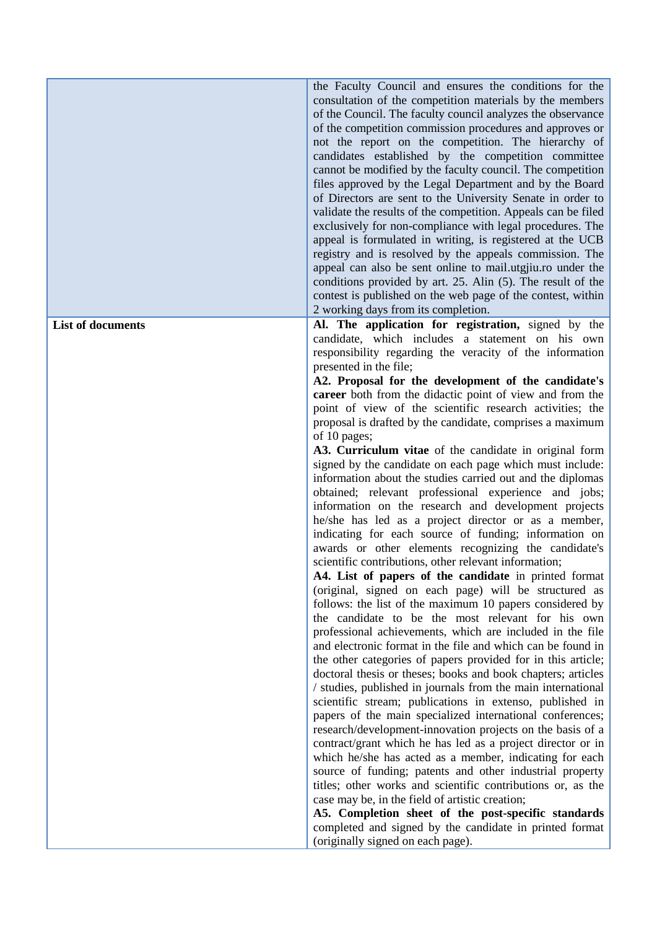|                          | the Faculty Council and ensures the conditions for the<br>consultation of the competition materials by the members<br>of the Council. The faculty council analyzes the observance<br>of the competition commission procedures and approves or<br>not the report on the competition. The hierarchy of<br>candidates established by the competition committee<br>cannot be modified by the faculty council. The competition<br>files approved by the Legal Department and by the Board<br>of Directors are sent to the University Senate in order to<br>validate the results of the competition. Appeals can be filed<br>exclusively for non-compliance with legal procedures. The<br>appeal is formulated in writing, is registered at the UCB<br>registry and is resolved by the appeals commission. The<br>appeal can also be sent online to mail.utgjiu.ro under the<br>conditions provided by art. 25. Alin (5). The result of the<br>contest is published on the web page of the contest, within<br>2 working days from its completion.                                                                                                                                                                                                                                                                                                                                                                                                                                                                                                                                                                                                                                                                                                                                                                                                                                                                                                         |
|--------------------------|-----------------------------------------------------------------------------------------------------------------------------------------------------------------------------------------------------------------------------------------------------------------------------------------------------------------------------------------------------------------------------------------------------------------------------------------------------------------------------------------------------------------------------------------------------------------------------------------------------------------------------------------------------------------------------------------------------------------------------------------------------------------------------------------------------------------------------------------------------------------------------------------------------------------------------------------------------------------------------------------------------------------------------------------------------------------------------------------------------------------------------------------------------------------------------------------------------------------------------------------------------------------------------------------------------------------------------------------------------------------------------------------------------------------------------------------------------------------------------------------------------------------------------------------------------------------------------------------------------------------------------------------------------------------------------------------------------------------------------------------------------------------------------------------------------------------------------------------------------------------------------------------------------------------------------------------------------|
| <b>List of documents</b> | Al. The application for registration, signed by the                                                                                                                                                                                                                                                                                                                                                                                                                                                                                                                                                                                                                                                                                                                                                                                                                                                                                                                                                                                                                                                                                                                                                                                                                                                                                                                                                                                                                                                                                                                                                                                                                                                                                                                                                                                                                                                                                                 |
|                          | candidate, which includes a statement on his own<br>responsibility regarding the veracity of the information<br>presented in the file;<br>A2. Proposal for the development of the candidate's<br>career both from the didactic point of view and from the<br>point of view of the scientific research activities; the<br>proposal is drafted by the candidate, comprises a maximum<br>of 10 pages;<br>A3. Curriculum vitae of the candidate in original form<br>signed by the candidate on each page which must include:<br>information about the studies carried out and the diplomas<br>obtained; relevant professional experience and jobs;<br>information on the research and development projects<br>he/she has led as a project director or as a member,<br>indicating for each source of funding; information on<br>awards or other elements recognizing the candidate's<br>scientific contributions, other relevant information;<br>A4. List of papers of the candidate in printed format<br>(original, signed on each page) will be structured as<br>follows: the list of the maximum 10 papers considered by<br>the candidate to be the most relevant for his own<br>professional achievements, which are included in the file<br>and electronic format in the file and which can be found in<br>the other categories of papers provided for in this article;<br>doctoral thesis or theses; books and book chapters; articles<br>/ studies, published in journals from the main international<br>scientific stream; publications in extenso, published in<br>papers of the main specialized international conferences;<br>research/development-innovation projects on the basis of a<br>contract/grant which he has led as a project director or in<br>which he/she has acted as a member, indicating for each<br>source of funding; patents and other industrial property<br>titles; other works and scientific contributions or, as the |
|                          | case may be, in the field of artistic creation;                                                                                                                                                                                                                                                                                                                                                                                                                                                                                                                                                                                                                                                                                                                                                                                                                                                                                                                                                                                                                                                                                                                                                                                                                                                                                                                                                                                                                                                                                                                                                                                                                                                                                                                                                                                                                                                                                                     |
|                          | A5. Completion sheet of the post-specific standards                                                                                                                                                                                                                                                                                                                                                                                                                                                                                                                                                                                                                                                                                                                                                                                                                                                                                                                                                                                                                                                                                                                                                                                                                                                                                                                                                                                                                                                                                                                                                                                                                                                                                                                                                                                                                                                                                                 |
|                          | completed and signed by the candidate in printed format<br>(originally signed on each page).                                                                                                                                                                                                                                                                                                                                                                                                                                                                                                                                                                                                                                                                                                                                                                                                                                                                                                                                                                                                                                                                                                                                                                                                                                                                                                                                                                                                                                                                                                                                                                                                                                                                                                                                                                                                                                                        |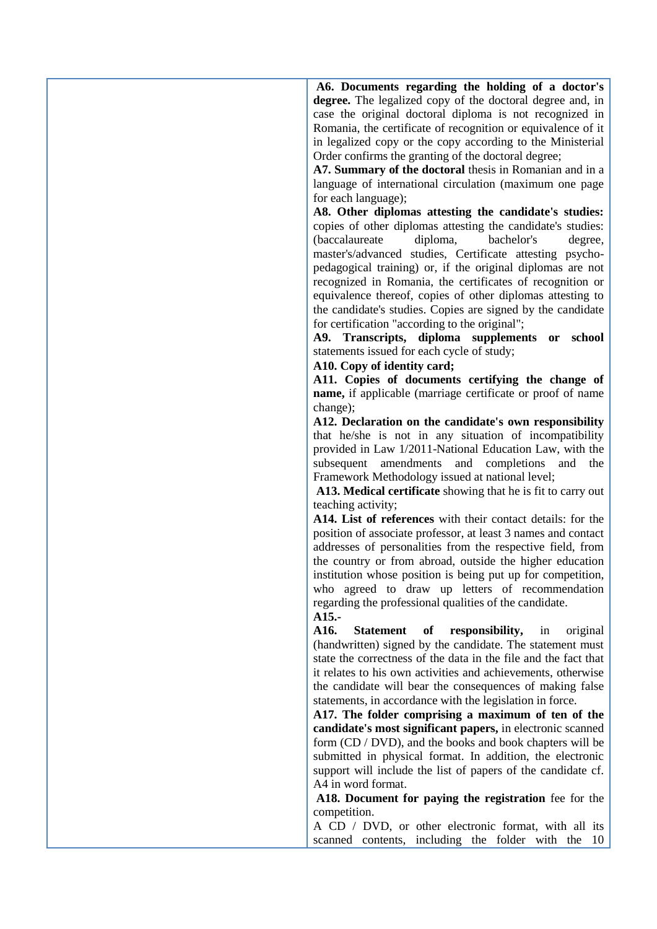**A6. Documents regarding the holding of a doctor's**  degree. The legalized copy of the doctoral degree and, in case the original doctoral diploma is not recognized in Romania, the certificate of recognition or equivalence of it in legalized copy or the copy according to the Ministerial Order confirms the granting of the doctoral degree;

**A7. Summary of the doctoral** thesis in Romanian and in a language of international circulation (maximum one page for each language);

**A8. Other diplomas attesting the candidate's studies:**  copies of other diplomas attesting the candidate's studies: (baccalaureate diploma, bachelor's degree, master's/advanced studies, Certificate attesting psychopedagogical training) or, if the original diplomas are not recognized in Romania, the certificates of recognition or equivalence thereof, copies of other diplomas attesting to the candidate's studies. Copies are signed by the candidate for certification "according to the original";

**A9. Transcripts, diploma supplements or school**  statements issued for each cycle of study;

### **A10. Copy of identity card;**

**A11. Copies of documents certifying the change of name,** if applicable (marriage certificate or proof of name change);

**A12. Declaration on the candidate's own responsibility**  that he/she is not in any situation of incompatibility provided in Law 1/2011-National Education Law, with the subsequent amendments and completions and the Framework Methodology issued at national level;

**A13. Medical certificate** showing that he is fit to carry out teaching activity;

**A14. List of references** with their contact details: for the position of associate professor, at least 3 names and contact addresses of personalities from the respective field, from the country or from abroad, outside the higher education institution whose position is being put up for competition, who agreed to draw up letters of recommendation regarding the professional qualities of the candidate.

**A15.-**

**A16. Statement of responsibility,** in original (handwritten) signed by the candidate. The statement must state the correctness of the data in the file and the fact that it relates to his own activities and achievements, otherwise the candidate will bear the consequences of making false statements, in accordance with the legislation in force.

**A17. The folder comprising a maximum of ten of the candidate's most significant papers,** in electronic scanned form (CD / DVD), and the books and book chapters will be submitted in physical format. In addition, the electronic support will include the list of papers of the candidate cf. A4 in word format.

**A18. Document for paying the registration** fee for the competition.

A CD / DVD, or other electronic format, with all its scanned contents, including the folder with the 10